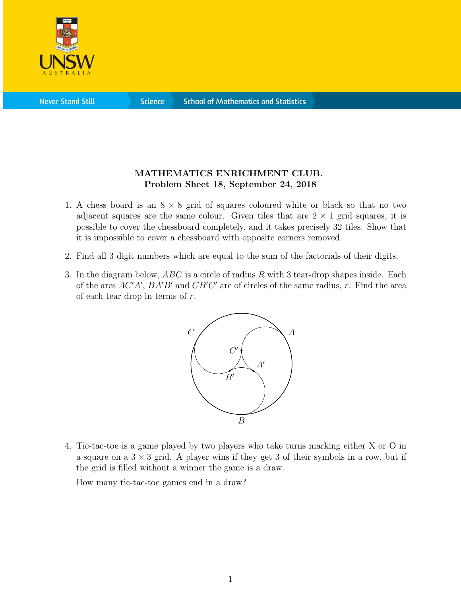

**Science** 

## MATHEMATICS ENRICHMENT CLUB. Problem Sheet 18, September 24, 2018

- 1. A chess board is an  $8 \times 8$  grid of squares coloured white or black so that no two adjacent squares are the same colour. Given tiles that are  $2 \times 1$  grid squares, it is possible to cover the chessboard completely, and it takes precisely 32 tiles. Show that it is impossible to cover a chessboard with opposite corners removed.
- 2. Find all 3 digit numbers which are equal to the sum of the factorials of their digits.
- 3. In the diagram below,  $ABC$  is a circle of radius R with 3 tear-drop shapes inside. Each of the arcs  $AC'A'$ ,  $BA'B'$  and  $CB'C'$  are of circles of the same radius, r. Find the area of each tear drop in terms of  $r$ .



4. Tic-tac-toe is a game played by two players who take turns marking either X or O in a square on a  $3 \times 3$  grid. A player wins if they get 3 of their symbols in a row, but if the grid is filled without a winner the game is a draw.

How many tic-tac-toe games end in a draw?